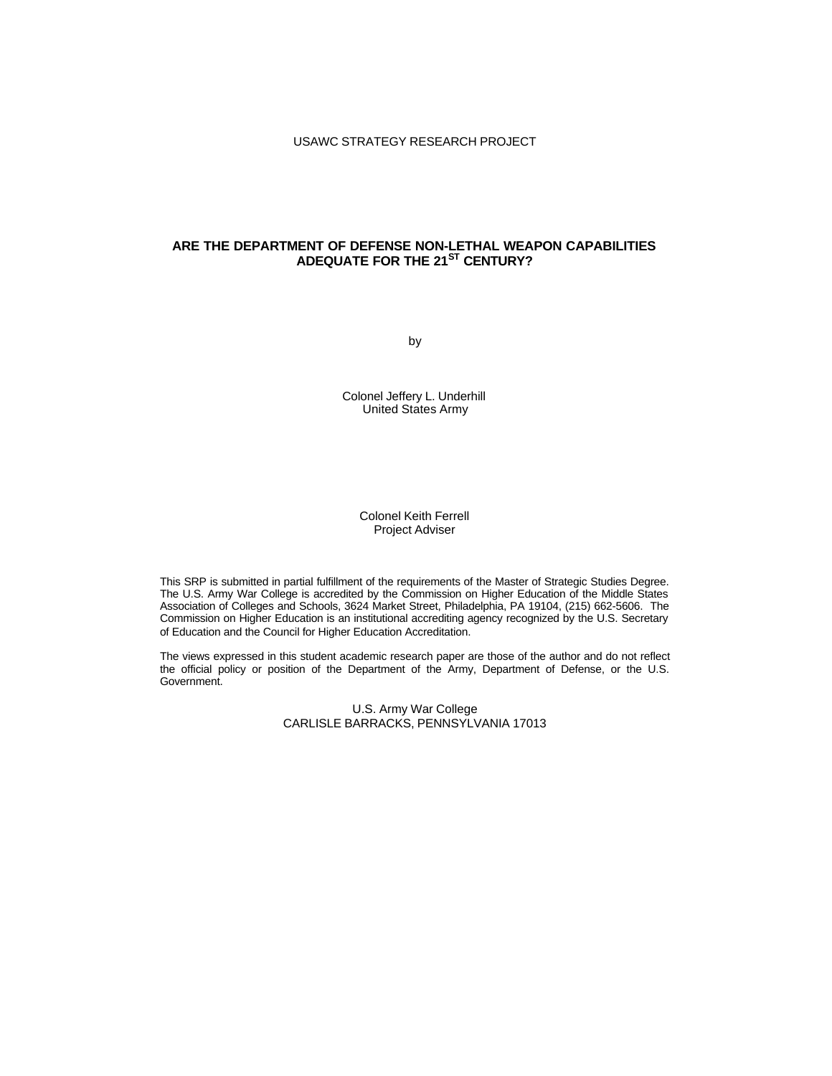# **ARE THE DEPARTMENT OF DEFENSE NON-LETHAL WEAPON CAPABILITIES ADEQUATE FOR THE 21ST CENTURY?**

by

Colonel Jeffery L. Underhill United States Army

## Colonel Keith Ferrell Project Adviser

This SRP is submitted in partial fulfillment of the requirements of the Master of Strategic Studies Degree. The U.S. Army War College is accredited by the Commission on Higher Education of the Middle States Association of Colleges and Schools, 3624 Market Street, Philadelphia, PA 19104, (215) 662-5606. The Commission on Higher Education is an institutional accrediting agency recognized by the U.S. Secretary of Education and the Council for Higher Education Accreditation.

The views expressed in this student academic research paper are those of the author and do not reflect the official policy or position of the Department of the Army, Department of Defense, or the U.S. Government.

> U.S. Army War College CARLISLE BARRACKS, PENNSYLVANIA 17013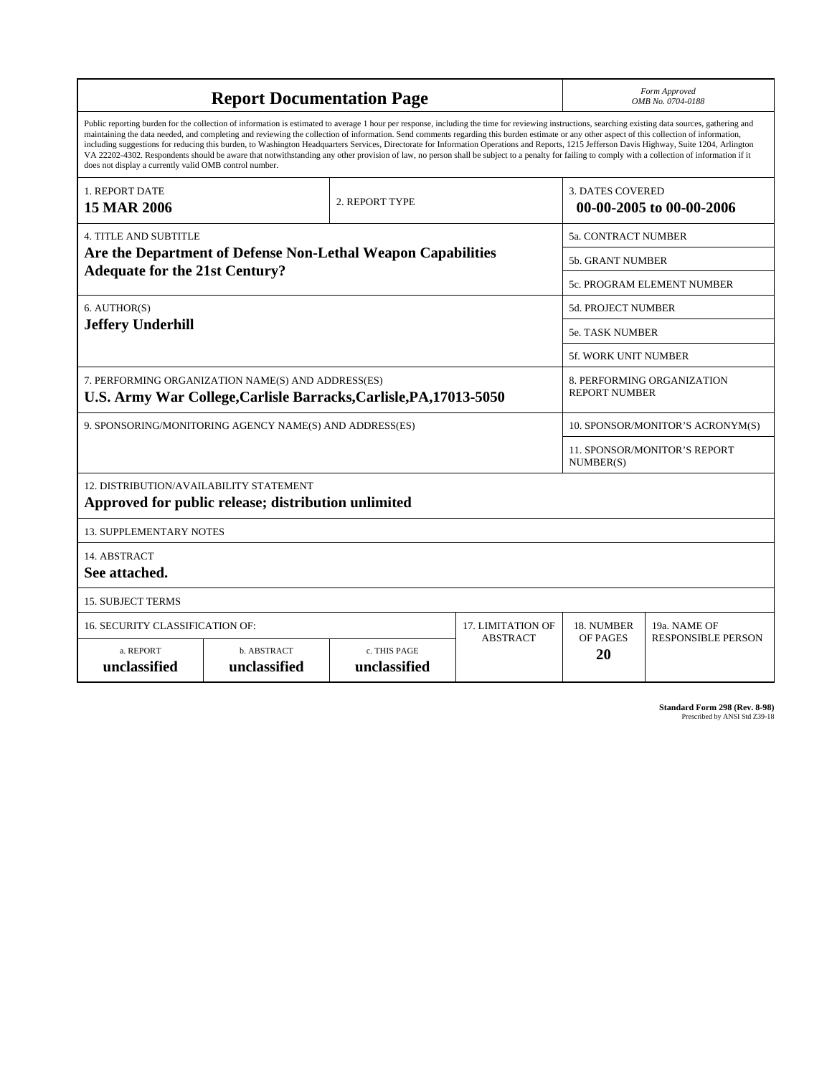| <b>Report Documentation Page</b>                                                                                                                                                                                                                                                                                                                                                                                                                                                                                                                                                                                                                                                                                                                                                                                                                                   |                             |                              |                            |                                                    | Form Approved<br>OMB No. 0704-0188        |  |
|--------------------------------------------------------------------------------------------------------------------------------------------------------------------------------------------------------------------------------------------------------------------------------------------------------------------------------------------------------------------------------------------------------------------------------------------------------------------------------------------------------------------------------------------------------------------------------------------------------------------------------------------------------------------------------------------------------------------------------------------------------------------------------------------------------------------------------------------------------------------|-----------------------------|------------------------------|----------------------------|----------------------------------------------------|-------------------------------------------|--|
| Public reporting burden for the collection of information is estimated to average 1 hour per response, including the time for reviewing instructions, searching existing data sources, gathering and<br>maintaining the data needed, and completing and reviewing the collection of information. Send comments regarding this burden estimate or any other aspect of this collection of information,<br>including suggestions for reducing this burden, to Washington Headquarters Services, Directorate for Information Operations and Reports, 1215 Jefferson Davis Highway, Suite 1204, Arlington<br>VA 22202-4302. Respondents should be aware that notwithstanding any other provision of law, no person shall be subject to a penalty for failing to comply with a collection of information if it<br>does not display a currently valid OMB control number. |                             |                              |                            |                                                    |                                           |  |
| <b>1. REPORT DATE</b><br><b>15 MAR 2006</b>                                                                                                                                                                                                                                                                                                                                                                                                                                                                                                                                                                                                                                                                                                                                                                                                                        |                             | 2. REPORT TYPE               |                            | <b>3. DATES COVERED</b>                            | 00-00-2005 to 00-00-2006                  |  |
| <b>4. TITLE AND SUBTITLE</b>                                                                                                                                                                                                                                                                                                                                                                                                                                                                                                                                                                                                                                                                                                                                                                                                                                       |                             |                              | <b>5a. CONTRACT NUMBER</b> |                                                    |                                           |  |
| Are the Department of Defense Non-Lethal Weapon Capabilities                                                                                                                                                                                                                                                                                                                                                                                                                                                                                                                                                                                                                                                                                                                                                                                                       |                             |                              |                            |                                                    | <b>5b. GRANT NUMBER</b>                   |  |
| <b>Adequate for the 21st Century?</b>                                                                                                                                                                                                                                                                                                                                                                                                                                                                                                                                                                                                                                                                                                                                                                                                                              |                             |                              |                            | 5c. PROGRAM ELEMENT NUMBER                         |                                           |  |
| 6. AUTHOR(S)                                                                                                                                                                                                                                                                                                                                                                                                                                                                                                                                                                                                                                                                                                                                                                                                                                                       |                             |                              |                            | <b>5d. PROJECT NUMBER</b>                          |                                           |  |
| <b>Jeffery Underhill</b>                                                                                                                                                                                                                                                                                                                                                                                                                                                                                                                                                                                                                                                                                                                                                                                                                                           |                             |                              |                            | <b>5e. TASK NUMBER</b>                             |                                           |  |
|                                                                                                                                                                                                                                                                                                                                                                                                                                                                                                                                                                                                                                                                                                                                                                                                                                                                    |                             |                              |                            | <b>5f. WORK UNIT NUMBER</b>                        |                                           |  |
| 7. PERFORMING ORGANIZATION NAME(S) AND ADDRESS(ES)<br>U.S. Army War College, Carlisle Barracks, Carlisle, PA, 17013-5050                                                                                                                                                                                                                                                                                                                                                                                                                                                                                                                                                                                                                                                                                                                                           |                             |                              |                            | 8. PERFORMING ORGANIZATION<br><b>REPORT NUMBER</b> |                                           |  |
| 9. SPONSORING/MONITORING AGENCY NAME(S) AND ADDRESS(ES)                                                                                                                                                                                                                                                                                                                                                                                                                                                                                                                                                                                                                                                                                                                                                                                                            |                             |                              |                            | 10. SPONSOR/MONITOR'S ACRONYM(S)                   |                                           |  |
|                                                                                                                                                                                                                                                                                                                                                                                                                                                                                                                                                                                                                                                                                                                                                                                                                                                                    |                             |                              |                            |                                                    | 11. SPONSOR/MONITOR'S REPORT<br>NUMBER(S) |  |
| 12. DISTRIBUTION/AVAILABILITY STATEMENT<br>Approved for public release; distribution unlimited                                                                                                                                                                                                                                                                                                                                                                                                                                                                                                                                                                                                                                                                                                                                                                     |                             |                              |                            |                                                    |                                           |  |
| <b>13. SUPPLEMENTARY NOTES</b>                                                                                                                                                                                                                                                                                                                                                                                                                                                                                                                                                                                                                                                                                                                                                                                                                                     |                             |                              |                            |                                                    |                                           |  |
| 14. ABSTRACT<br>See attached.                                                                                                                                                                                                                                                                                                                                                                                                                                                                                                                                                                                                                                                                                                                                                                                                                                      |                             |                              |                            |                                                    |                                           |  |
| <b>15. SUBJECT TERMS</b>                                                                                                                                                                                                                                                                                                                                                                                                                                                                                                                                                                                                                                                                                                                                                                                                                                           |                             |                              |                            |                                                    |                                           |  |
| 16. SECURITY CLASSIFICATION OF:                                                                                                                                                                                                                                                                                                                                                                                                                                                                                                                                                                                                                                                                                                                                                                                                                                    |                             |                              | <b>17. LIMITATION OF</b>   | 18. NUMBER                                         | 19a. NAME OF                              |  |
| a. REPORT<br>unclassified                                                                                                                                                                                                                                                                                                                                                                                                                                                                                                                                                                                                                                                                                                                                                                                                                                          | b. ABSTRACT<br>unclassified | c. THIS PAGE<br>unclassified | <b>ABSTRACT</b>            | OF PAGES<br>20                                     | <b>RESPONSIBLE PERSON</b>                 |  |

**Standard Form 298 (Rev. 8-98)**<br>Prescribed by ANSI Std Z39-18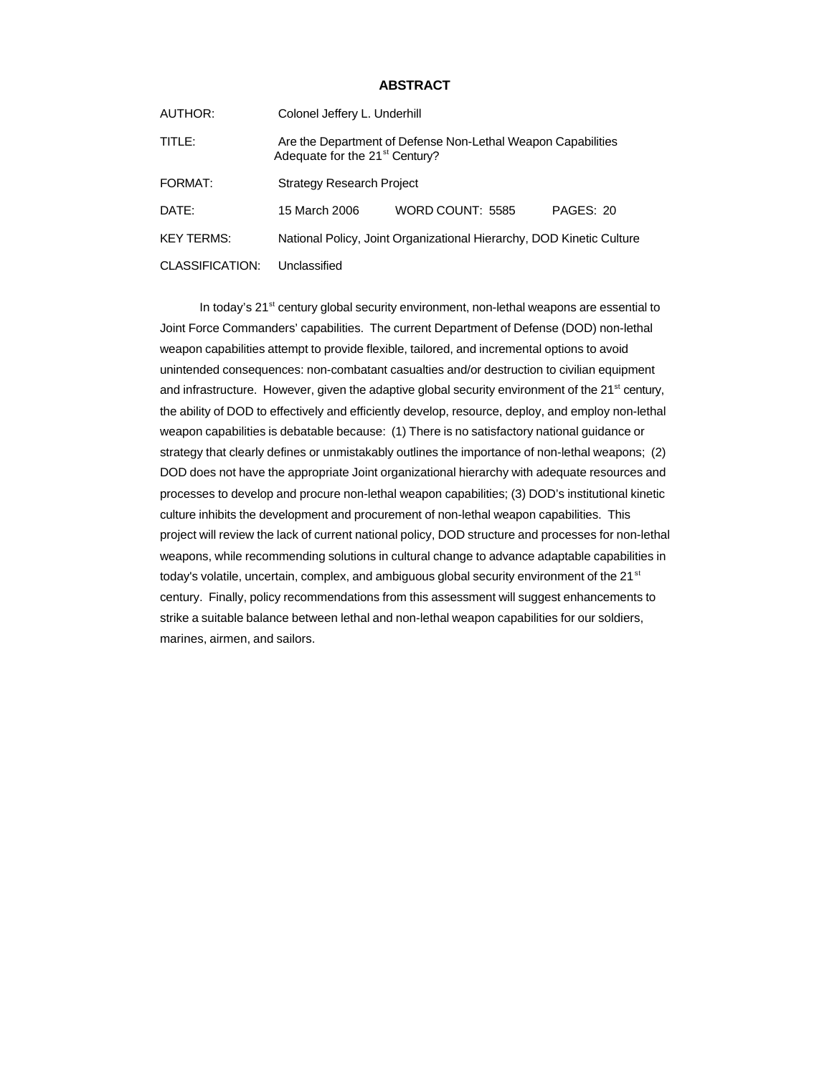## **ABSTRACT**

| AUTHOR:           | Colonel Jeffery L. Underhill                                                                               |                  |           |  |  |
|-------------------|------------------------------------------------------------------------------------------------------------|------------------|-----------|--|--|
| TITLE:            | Are the Department of Defense Non-Lethal Weapon Capabilities<br>Adequate for the 21 <sup>st</sup> Century? |                  |           |  |  |
| FORMAT:           | <b>Strategy Research Project</b>                                                                           |                  |           |  |  |
| DATE:             | 15 March 2006                                                                                              | WORD COUNT: 5585 | PAGES: 20 |  |  |
| <b>KEY TERMS:</b> | National Policy, Joint Organizational Hierarchy, DOD Kinetic Culture                                       |                  |           |  |  |
| CLASSIFICATION:   | Unclassified                                                                                               |                  |           |  |  |

In today's  $21^{st}$  century global security environment, non-lethal weapons are essential to Joint Force Commanders' capabilities. The current Department of Defense (DOD) non-lethal weapon capabilities attempt to provide flexible, tailored, and incremental options to avoid unintended consequences: non-combatant casualties and/or destruction to civilian equipment and infrastructure. However, given the adaptive global security environment of the  $21<sup>st</sup>$  century, the ability of DOD to effectively and efficiently develop, resource, deploy, and employ non-lethal weapon capabilities is debatable because: (1) There is no satisfactory national guidance or strategy that clearly defines or unmistakably outlines the importance of non-lethal weapons; (2) DOD does not have the appropriate Joint organizational hierarchy with adequate resources and processes to develop and procure non-lethal weapon capabilities; (3) DOD's institutional kinetic culture inhibits the development and procurement of non-lethal weapon capabilities. This project will review the lack of current national policy, DOD structure and processes for non-lethal weapons, while recommending solutions in cultural change to advance adaptable capabilities in today's volatile, uncertain, complex, and ambiguous global security environment of the 21<sup>st</sup> century. Finally, policy recommendations from this assessment will suggest enhancements to strike a suitable balance between lethal and non-lethal weapon capabilities for our soldiers, marines, airmen, and sailors.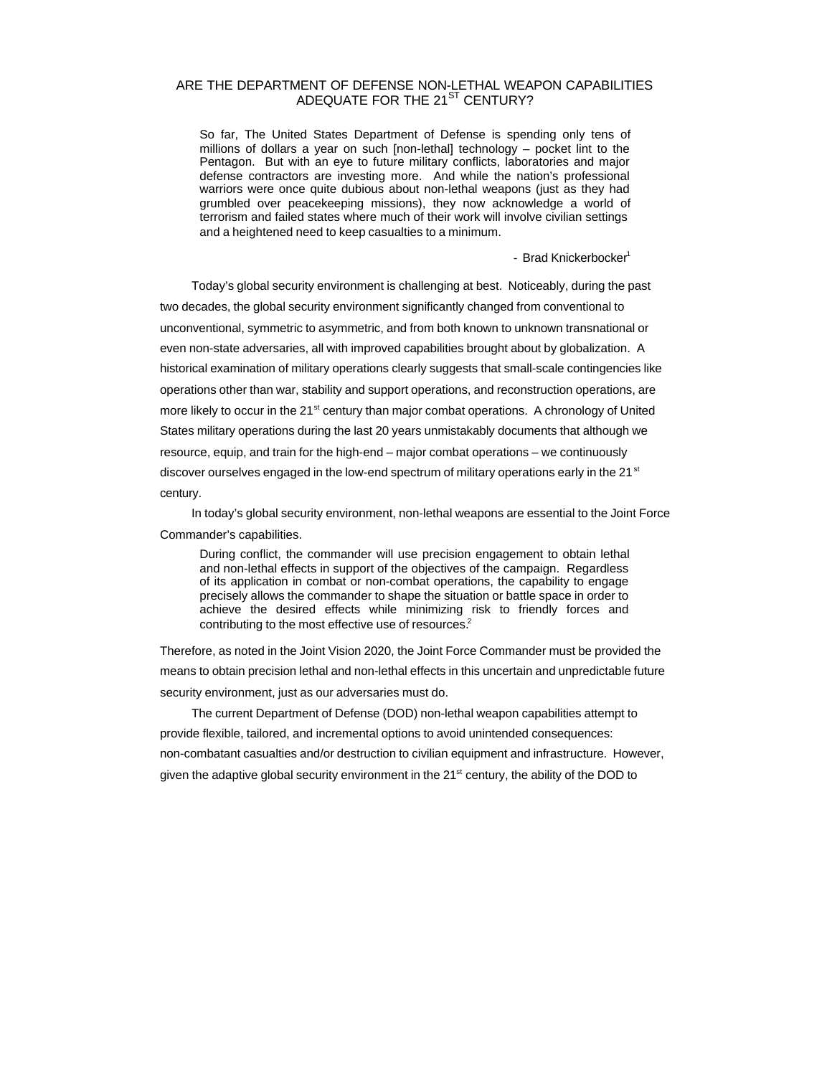## ARE THE DEPARTMENT OF DEFENSE NON-LETHAL WEAPON CAPABILITIES ADEQUATE FOR THE 21<sup>ST</sup> CENTURY?

So far, The United States Department of Defense is spending only tens of millions of dollars a year on such [non-lethal] technology – pocket lint to the Pentagon. But with an eye to future military conflicts, laboratories and major defense contractors are investing more. And while the nation's professional warriors were once quite dubious about non-lethal weapons (just as they had grumbled over peacekeeping missions), they now acknowledge a world of terrorism and failed states where much of their work will involve civilian settings and a heightened need to keep casualties to a minimum.

- Brad Knickerbocker<sup>1</sup>

Today's global security environment is challenging at best. Noticeably, during the past two decades, the global security environment significantly changed from conventional to unconventional, symmetric to asymmetric, and from both known to unknown transnational or even non-state adversaries, all with improved capabilities brought about by globalization. A historical examination of military operations clearly suggests that small-scale contingencies like operations other than war, stability and support operations, and reconstruction operations, are more likely to occur in the 21<sup>st</sup> century than major combat operations. A chronology of United States military operations during the last 20 years unmistakably documents that although we resource, equip, and train for the high-end – major combat operations – we continuously discover ourselves engaged in the low-end spectrum of military operations early in the 21 $\mathrm{^{st}}$ century.

In today's global security environment, non-lethal weapons are essential to the Joint Force Commander's capabilities.

During conflict, the commander will use precision engagement to obtain lethal and non-lethal effects in support of the objectives of the campaign. Regardless of its application in combat or non-combat operations, the capability to engage precisely allows the commander to shape the situation or battle space in order to achieve the desired effects while minimizing risk to friendly forces and contributing to the most effective use of resources.<sup>2</sup>

Therefore, as noted in the Joint Vision 2020, the Joint Force Commander must be provided the means to obtain precision lethal and non-lethal effects in this uncertain and unpredictable future security environment, just as our adversaries must do.

The current Department of Defense (DOD) non-lethal weapon capabilities attempt to provide flexible, tailored, and incremental options to avoid unintended consequences: non-combatant casualties and/or destruction to civilian equipment and infrastructure. However, given the adaptive global security environment in the 21<sup>st</sup> century, the ability of the DOD to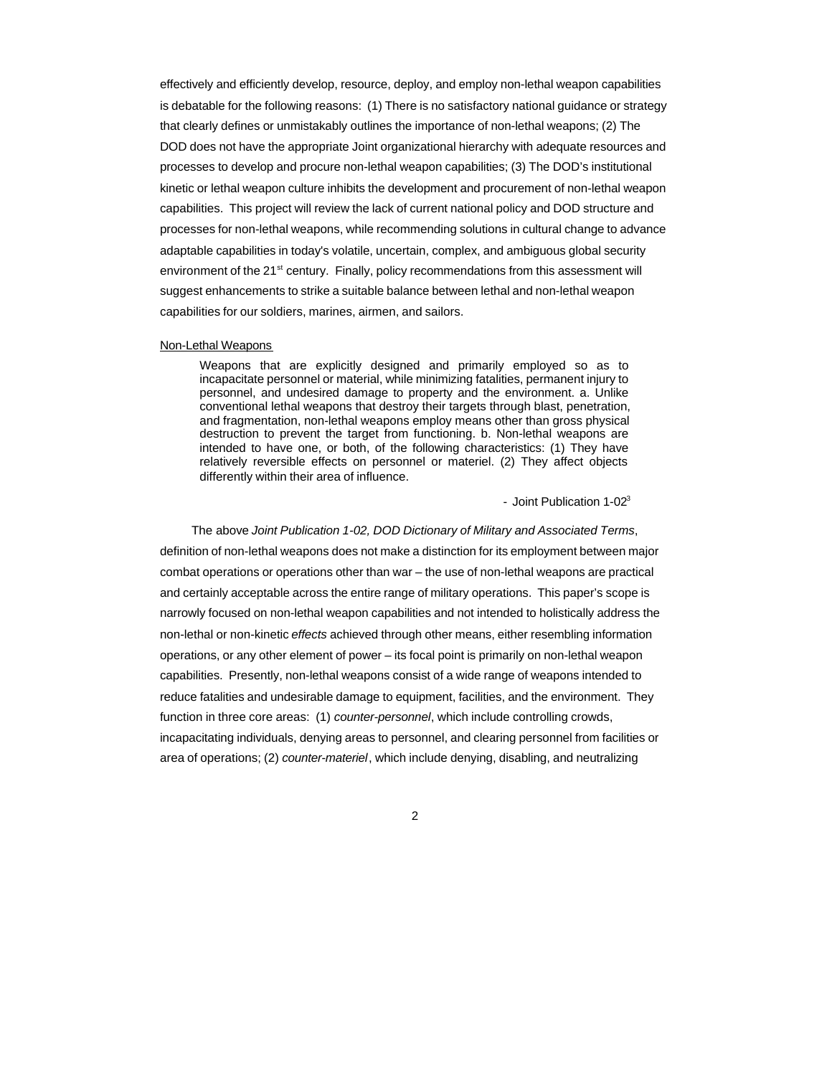effectively and efficiently develop, resource, deploy, and employ non-lethal weapon capabilities is debatable for the following reasons: (1) There is no satisfactory national guidance or strategy that clearly defines or unmistakably outlines the importance of non-lethal weapons; (2) The DOD does not have the appropriate Joint organizational hierarchy with adequate resources and processes to develop and procure non-lethal weapon capabilities; (3) The DOD's institutional kinetic or lethal weapon culture inhibits the development and procurement of non-lethal weapon capabilities. This project will review the lack of current national policy and DOD structure and processes for non-lethal weapons, while recommending solutions in cultural change to advance adaptable capabilities in today's volatile, uncertain, complex, and ambiguous global security environment of the 21<sup>st</sup> century. Finally, policy recommendations from this assessment will suggest enhancements to strike a suitable balance between lethal and non-lethal weapon capabilities for our soldiers, marines, airmen, and sailors.

#### Non-Lethal Weapons

Weapons that are explicitly designed and primarily employed so as to incapacitate personnel or material, while minimizing fatalities, permanent injury to personnel, and undesired damage to property and the environment. a. Unlike conventional lethal weapons that destroy their targets through blast, penetration, and fragmentation, non-lethal weapons employ means other than gross physical destruction to prevent the target from functioning. b. Non-lethal weapons are intended to have one, or both, of the following characteristics: (1) They have relatively reversible effects on personnel or materiel. (2) They affect objects differently within their area of influence.

- Joint Publication 1-02<sup>3</sup>

The above *Joint Publication 1-02, DOD Dictionary of Military and Associated Terms*, definition of non-lethal weapons does not make a distinction for its employment between major combat operations or operations other than war – the use of non-lethal weapons are practical and certainly acceptable across the entire range of military operations. This paper's scope is narrowly focused on non-lethal weapon capabilities and not intended to holistically address the non-lethal or non-kinetic *effects* achieved through other means, either resembling information operations, or any other element of power – its focal point is primarily on non-lethal weapon capabilities. Presently, non-lethal weapons consist of a wide range of weapons intended to reduce fatalities and undesirable damage to equipment, facilities, and the environment. They function in three core areas: (1) *counter-personnel*, which include controlling crowds, incapacitating individuals, denying areas to personnel, and clearing personnel from facilities or area of operations; (2) *counter-materiel*, which include denying, disabling, and neutralizing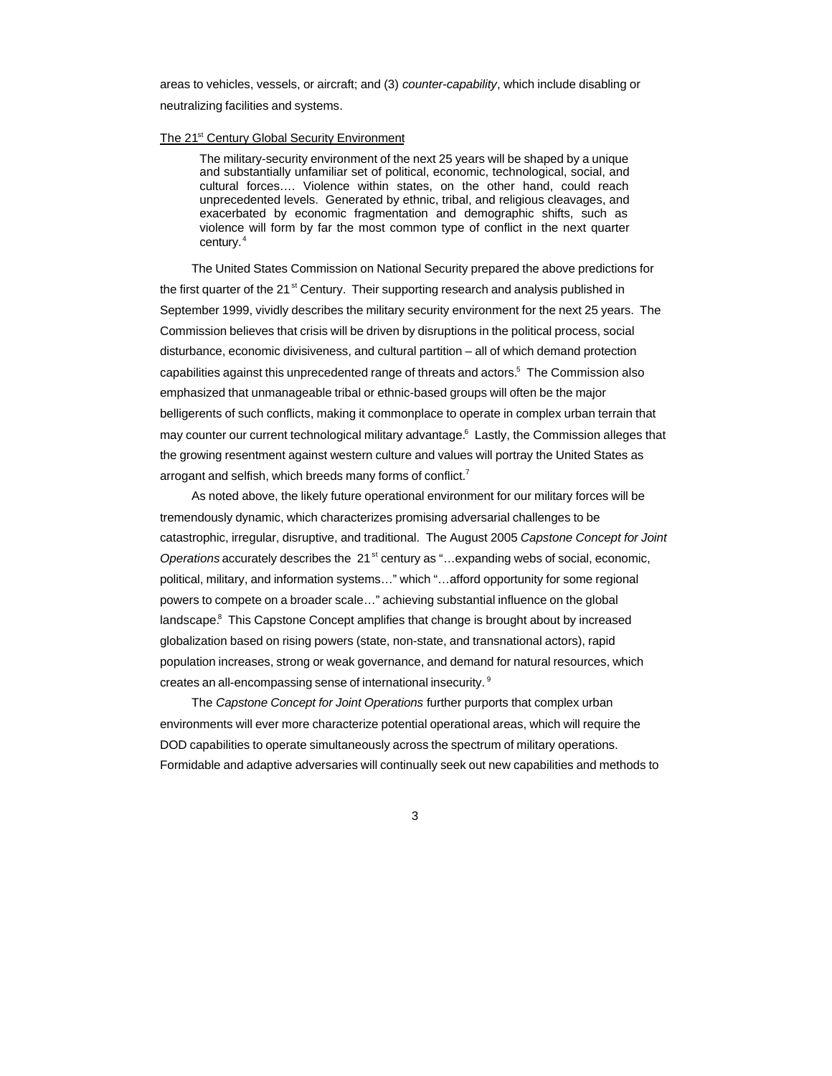areas to vehicles, vessels, or aircraft; and (3) *counter-capability*, which include disabling or neutralizing facilities and systems.

### The 21<sup>st</sup> Century Global Security Environment

The military-security environment of the next 25 years will be shaped by a unique and substantially unfamiliar set of political, economic, technological, social, and cultural forces…. Violence within states, on the other hand, could reach unprecedented levels. Generated by ethnic, tribal, and religious cleavages, and exacerbated by economic fragmentation and demographic shifts, such as violence will form by far the most common type of conflict in the next quarter century.<sup>4</sup>

The United States Commission on National Security prepared the above predictions for the first quarter of the 21 $\mathrm{^{st}}$  Century. Their supporting research and analysis published in September 1999, vividly describes the military security environment for the next 25 years. The Commission believes that crisis will be driven by disruptions in the political process, social disturbance, economic divisiveness, and cultural partition – all of which demand protection capabilities against this unprecedented range of threats and actors.<sup>5</sup> The Commission also emphasized that unmanageable tribal or ethnic-based groups will often be the major belligerents of such conflicts, making it commonplace to operate in complex urban terrain that may counter our current technological military advantage.<sup>6</sup> Lastly, the Commission alleges that the growing resentment against western culture and values will portray the United States as arrogant and selfish, which breeds many forms of conflict.<sup>7</sup>

As noted above, the likely future operational environment for our military forces will be tremendously dynamic, which characterizes promising adversarial challenges to be catastrophic, irregular, disruptive, and traditional. The August 2005 *Capstone Concept for Joint Operations* accurately describes the 21<sup>st</sup> century as "... expanding webs of social, economic, political, military, and information systems…" which "…afford opportunity for some regional powers to compete on a broader scale…" achieving substantial influence on the global landscape.<sup>8</sup> This Capstone Concept amplifies that change is brought about by increased globalization based on rising powers (state, non-state, and transnational actors), rapid population increases, strong or weak governance, and demand for natural resources, which creates an all-encompassing sense of international insecurity. <sup>9</sup>

The *Capstone Concept for Joint Operations* further purports that complex urban environments will ever more characterize potential operational areas, which will require the DOD capabilities to operate simultaneously across the spectrum of military operations. Formidable and adaptive adversaries will continually seek out new capabilities and methods to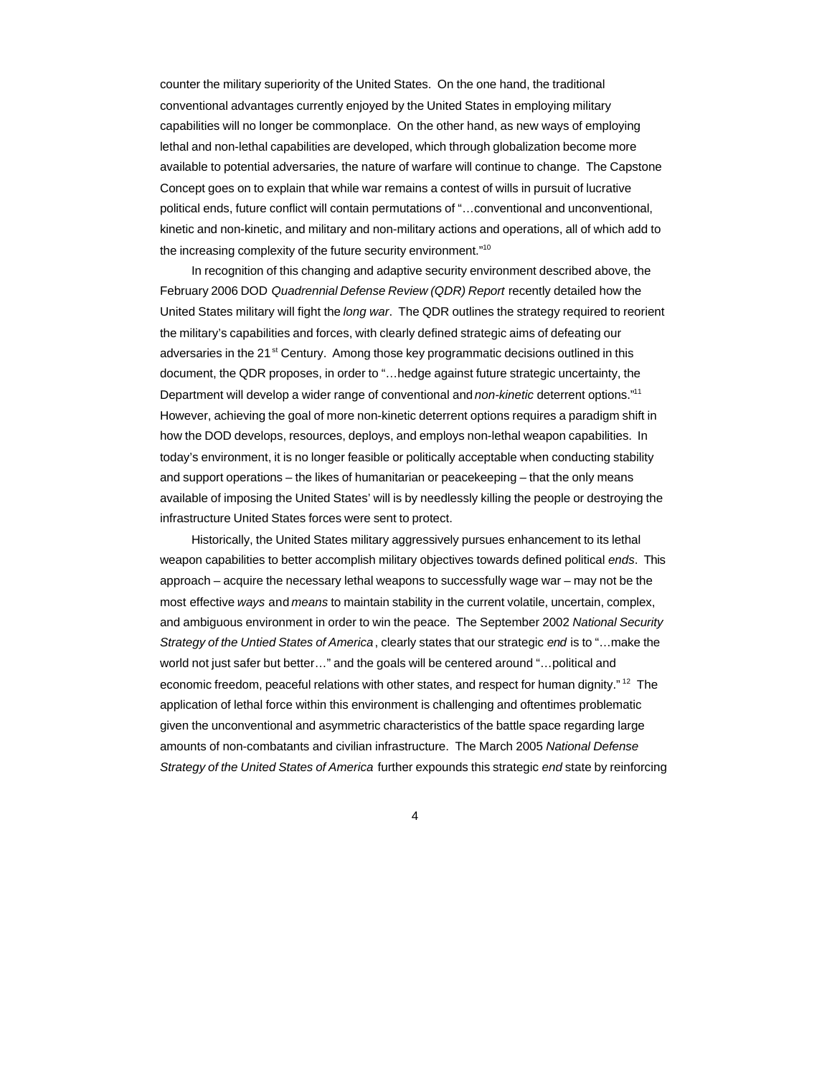counter the military superiority of the United States. On the one hand, the traditional conventional advantages currently enjoyed by the United States in employing military capabilities will no longer be commonplace. On the other hand, as new ways of employing lethal and non-lethal capabilities are developed, which through globalization become more available to potential adversaries, the nature of warfare will continue to change. The Capstone Concept goes on to explain that while war remains a contest of wills in pursuit of lucrative political ends, future conflict will contain permutations of "…conventional and unconventional, kinetic and non-kinetic, and military and non-military actions and operations, all of which add to the increasing complexity of the future security environment."<sup>10</sup>

In recognition of this changing and adaptive security environment described above, the February 2006 DOD *Quadrennial Defense Review (QDR) Report* recently detailed how the United States military will fight the *long war*. The QDR outlines the strategy required to reorient the military's capabilities and forces, with clearly defined strategic aims of defeating our adversaries in the 21<sup>st</sup> Century. Among those key programmatic decisions outlined in this document, the QDR proposes, in order to "…hedge against future strategic uncertainty, the Department will develop a wider range of conventional and *non-kinetic* deterrent options."<sup>11</sup> However, achieving the goal of more non-kinetic deterrent options requires a paradigm shift in how the DOD develops, resources, deploys, and employs non-lethal weapon capabilities. In today's environment, it is no longer feasible or politically acceptable when conducting stability and support operations – the likes of humanitarian or peacekeeping – that the only means available of imposing the United States' will is by needlessly killing the people or destroying the infrastructure United States forces were sent to protect.

Historically, the United States military aggressively pursues enhancement to its lethal weapon capabilities to better accomplish military objectives towards defined political *ends*. This approach – acquire the necessary lethal weapons to successfully wage war – may not be the most effective *ways* and *means* to maintain stability in the current volatile, uncertain, complex, and ambiguous environment in order to win the peace. The September 2002 *National Security Strategy of the Untied States of America*, clearly states that our strategic *end* is to "…make the world not just safer but better…" and the goals will be centered around "…political and economic freedom, peaceful relations with other states, and respect for human dignity." <sup>12</sup> The application of lethal force within this environment is challenging and oftentimes problematic given the unconventional and asymmetric characteristics of the battle space regarding large amounts of non-combatants and civilian infrastructure. The March 2005 *National Defense Strategy of the United States of America* further expounds this strategic *end* state by reinforcing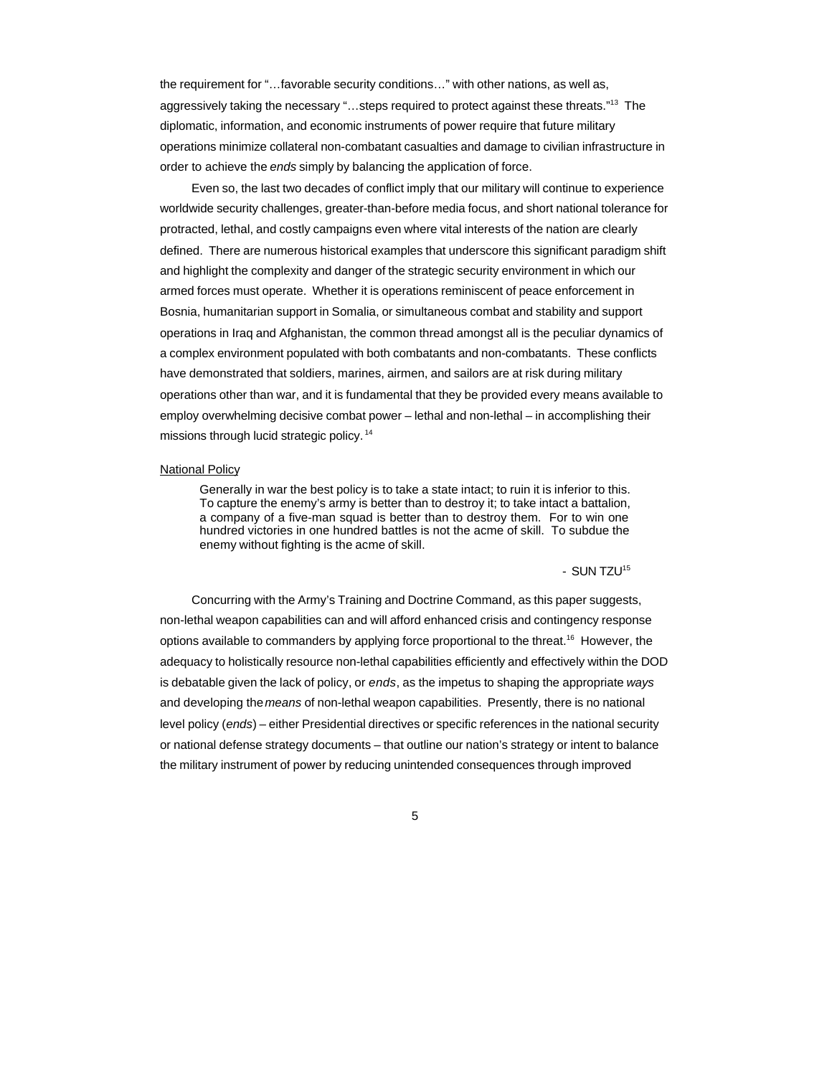the requirement for "…favorable security conditions…" with other nations, as well as, aggressively taking the necessary "...steps required to protect against these threats."<sup>13</sup> The diplomatic, information, and economic instruments of power require that future military operations minimize collateral non-combatant casualties and damage to civilian infrastructure in order to achieve the *ends* simply by balancing the application of force.

Even so, the last two decades of conflict imply that our military will continue to experience worldwide security challenges, greater-than-before media focus, and short national tolerance for protracted, lethal, and costly campaigns even where vital interests of the nation are clearly defined. There are numerous historical examples that underscore this significant paradigm shift and highlight the complexity and danger of the strategic security environment in which our armed forces must operate. Whether it is operations reminiscent of peace enforcement in Bosnia, humanitarian support in Somalia, or simultaneous combat and stability and support operations in Iraq and Afghanistan, the common thread amongst all is the peculiar dynamics of a complex environment populated with both combatants and non-combatants. These conflicts have demonstrated that soldiers, marines, airmen, and sailors are at risk during military operations other than war, and it is fundamental that they be provided every means available to employ overwhelming decisive combat power – lethal and non-lethal – in accomplishing their missions through lucid strategic policy.<sup>14</sup>

## National Policy

Generally in war the best policy is to take a state intact; to ruin it is inferior to this. To capture the enemy's army is better than to destroy it; to take intact a battalion, a company of a five-man squad is better than to destroy them. For to win one hundred victories in one hundred battles is not the acme of skill. To subdue the enemy without fighting is the acme of skill.

 $-$  SUN TZU<sup>15</sup>

Concurring with the Army's Training and Doctrine Command, as this paper suggests, non-lethal weapon capabilities can and will afford enhanced crisis and contingency response options available to commanders by applying force proportional to the threat.<sup>16</sup> However, the adequacy to holistically resource non-lethal capabilities efficiently and effectively within the DOD is debatable given the lack of policy, or *ends*, as the impetus to shaping the appropriate *ways* and developing the *means* of non-lethal weapon capabilities. Presently, there is no national level policy (*ends*) – either Presidential directives or specific references in the national security or national defense strategy documents – that outline our nation's strategy or intent to balance the military instrument of power by reducing unintended consequences through improved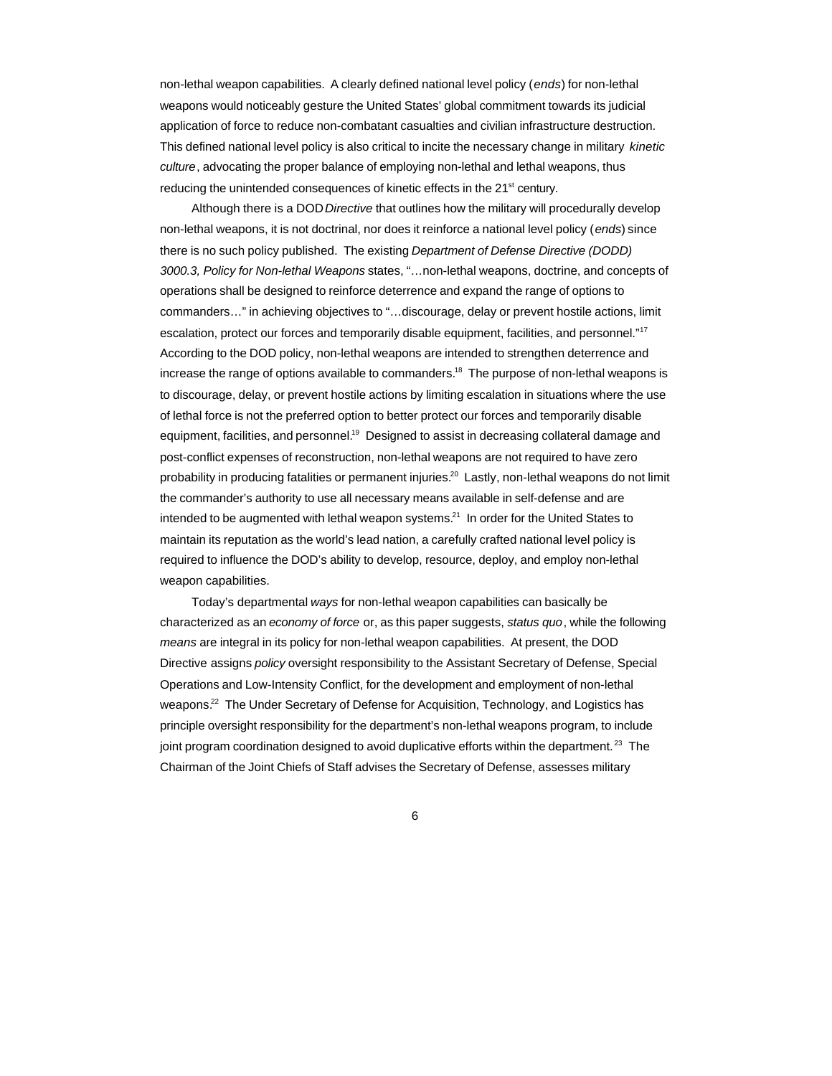non-lethal weapon capabilities. A clearly defined national level policy (*ends*) for non-lethal weapons would noticeably gesture the United States' global commitment towards its judicial application of force to reduce non-combatant casualties and civilian infrastructure destruction. This defined national level policy is also critical to incite the necessary change in military *kinetic culture*, advocating the proper balance of employing non-lethal and lethal weapons, thus reducing the unintended consequences of kinetic effects in the 21<sup>st</sup> century.

Although there is a DOD *Directive* that outlines how the military will procedurally develop non-lethal weapons, it is not doctrinal, nor does it reinforce a national level policy (*ends*) since there is no such policy published. The existing *Department of Defense Directive (DODD) 3000.3, Policy for Non-lethal Weapons* states, "…non-lethal weapons, doctrine, and concepts of operations shall be designed to reinforce deterrence and expand the range of options to commanders…" in achieving objectives to "…discourage, delay or prevent hostile actions, limit escalation, protect our forces and temporarily disable equipment, facilities, and personnel."<sup>17</sup> According to the DOD policy, non-lethal weapons are intended to strengthen deterrence and increase the range of options available to commanders.<sup>18</sup> The purpose of non-lethal weapons is to discourage, delay, or prevent hostile actions by limiting escalation in situations where the use of lethal force is not the preferred option to better protect our forces and temporarily disable equipment, facilities, and personnel.<sup>19</sup> Designed to assist in decreasing collateral damage and post-conflict expenses of reconstruction, non-lethal weapons are not required to have zero probability in producing fatalities or permanent injuries.<sup>20</sup> Lastly, non-lethal weapons do not limit the commander's authority to use all necessary means available in self-defense and are intended to be augmented with lethal weapon systems.<sup>21</sup> In order for the United States to maintain its reputation as the world's lead nation, a carefully crafted national level policy is required to influence the DOD's ability to develop, resource, deploy, and employ non-lethal weapon capabilities.

Today's departmental *ways* for non-lethal weapon capabilities can basically be characterized as an *economy of force* or, as this paper suggests, *status quo*, while the following *means* are integral in its policy for non-lethal weapon capabilities. At present, the DOD Directive assigns *policy* oversight responsibility to the Assistant Secretary of Defense, Special Operations and Low-Intensity Conflict, for the development and employment of non-lethal weapons.<sup>22</sup> The Under Secretary of Defense for Acquisition, Technology, and Logistics has principle oversight responsibility for the department's non-lethal weapons program, to include joint program coordination designed to avoid duplicative efforts within the department.<sup>23</sup> The Chairman of the Joint Chiefs of Staff advises the Secretary of Defense, assesses military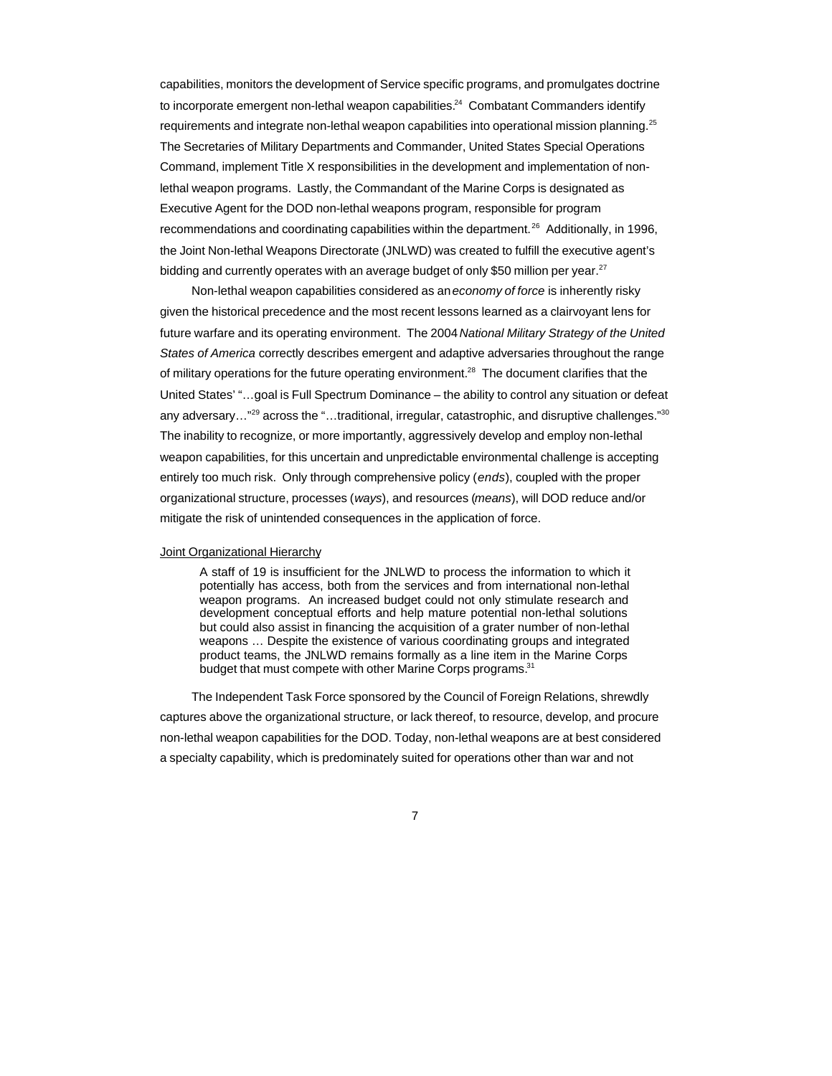capabilities, monitors the development of Service specific programs, and promulgates doctrine to incorporate emergent non-lethal weapon capabilities.<sup>24</sup> Combatant Commanders identify requirements and integrate non-lethal weapon capabilities into operational mission planning.<sup>25</sup> The Secretaries of Military Departments and Commander, United States Special Operations Command, implement Title X responsibilities in the development and implementation of nonlethal weapon programs. Lastly, the Commandant of the Marine Corps is designated as Executive Agent for the DOD non-lethal weapons program, responsible for program recommendations and coordinating capabilities within the department.<sup>26</sup> Additionally, in 1996, the Joint Non-lethal Weapons Directorate (JNLWD) was created to fulfill the executive agent's bidding and currently operates with an average budget of only \$50 million per year.<sup>27</sup>

Non-lethal weapon capabilities considered as an *economy of force* is inherently risky given the historical precedence and the most recent lessons learned as a clairvoyant lens for future warfare and its operating environment. The 2004 *National Military Strategy of the United States of America* correctly describes emergent and adaptive adversaries throughout the range of military operations for the future operating environment.<sup>28</sup> The document clarifies that the United States' "…goal is Full Spectrum Dominance – the ability to control any situation or defeat any adversary…"<sup>29</sup> across the "…traditional, irregular, catastrophic, and disruptive challenges."<sup>30</sup> The inability to recognize, or more importantly, aggressively develop and employ non-lethal weapon capabilities, for this uncertain and unpredictable environmental challenge is accepting entirely too much risk. Only through comprehensive policy (*ends*), coupled with the proper organizational structure, processes (*ways*), and resources (*means*), will DOD reduce and/or mitigate the risk of unintended consequences in the application of force.

### Joint Organizational Hierarchy

A staff of 19 is insufficient for the JNLWD to process the information to which it potentially has access, both from the services and from international non-lethal weapon programs. An increased budget could not only stimulate research and development conceptual efforts and help mature potential non-lethal solutions but could also assist in financing the acquisition of a grater number of non-lethal weapons … Despite the existence of various coordinating groups and integrated product teams, the JNLWD remains formally as a line item in the Marine Corps budget that must compete with other Marine Corps programs.<sup>31</sup>

The Independent Task Force sponsored by the Council of Foreign Relations, shrewdly captures above the organizational structure, or lack thereof, to resource, develop, and procure non-lethal weapon capabilities for the DOD. Today, non-lethal weapons are at best considered a specialty capability, which is predominately suited for operations other than war and not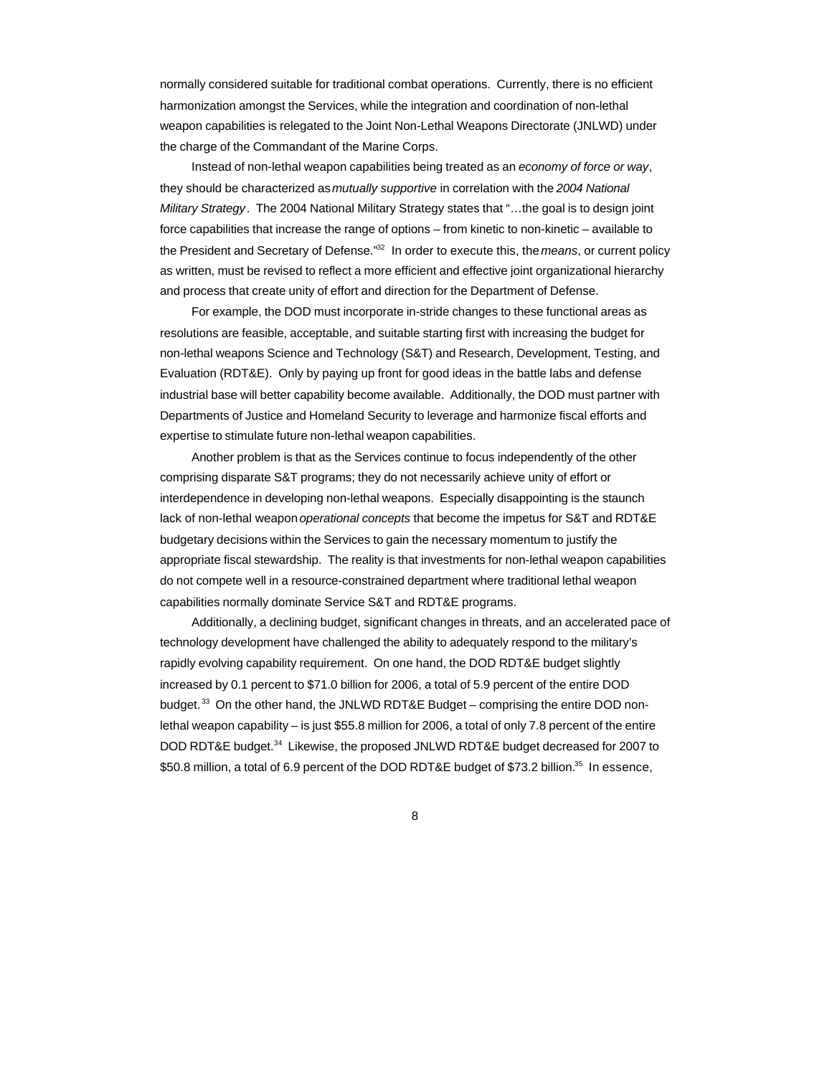normally considered suitable for traditional combat operations. Currently, there is no efficient harmonization amongst the Services, while the integration and coordination of non-lethal weapon capabilities is relegated to the Joint Non-Lethal Weapons Directorate (JNLWD) under the charge of the Commandant of the Marine Corps.

Instead of non-lethal weapon capabilities being treated as an *economy of force or way*, they should be characterized as *mutually supportive* in correlation with the *2004 National Military Strategy*. The 2004 National Military Strategy states that "…the goal is to design joint force capabilities that increase the range of options – from kinetic to non-kinetic – available to the President and Secretary of Defense."<sup>32</sup> In order to execute this, the *means*, or current policy as written, must be revised to reflect a more efficient and effective joint organizational hierarchy and process that create unity of effort and direction for the Department of Defense.

For example, the DOD must incorporate in-stride changes to these functional areas as resolutions are feasible, acceptable, and suitable starting first with increasing the budget for non-lethal weapons Science and Technology (S&T) and Research, Development, Testing, and Evaluation (RDT&E). Only by paying up front for good ideas in the battle labs and defense industrial base will better capability become available. Additionally, the DOD must partner with Departments of Justice and Homeland Security to leverage and harmonize fiscal efforts and expertise to stimulate future non-lethal weapon capabilities.

Another problem is that as the Services continue to focus independently of the other comprising disparate S&T programs; they do not necessarily achieve unity of effort or interdependence in developing non-lethal weapons. Especially disappointing is the staunch lack of non-lethal weapon *operational concepts* that become the impetus for S&T and RDT&E budgetary decisions within the Services to gain the necessary momentum to justify the appropriate fiscal stewardship. The reality is that investments for non-lethal weapon capabilities do not compete well in a resource-constrained department where traditional lethal weapon capabilities normally dominate Service S&T and RDT&E programs.

Additionally, a declining budget, significant changes in threats, and an accelerated pace of technology development have challenged the ability to adequately respond to the military's rapidly evolving capability requirement. On one hand, the DOD RDT&E budget slightly increased by 0.1 percent to \$71.0 billion for 2006, a total of 5.9 percent of the entire DOD budget.<sup>33</sup> On the other hand, the JNLWD RDT&E Budget – comprising the entire DOD nonlethal weapon capability – is just \$55.8 million for 2006, a total of only 7.8 percent of the entire DOD RDT&E budget.<sup>34</sup> Likewise, the proposed JNLWD RDT&E budget decreased for 2007 to \$50.8 million, a total of 6.9 percent of the DOD RDT&E budget of \$73.2 billion.<sup>35</sup> In essence,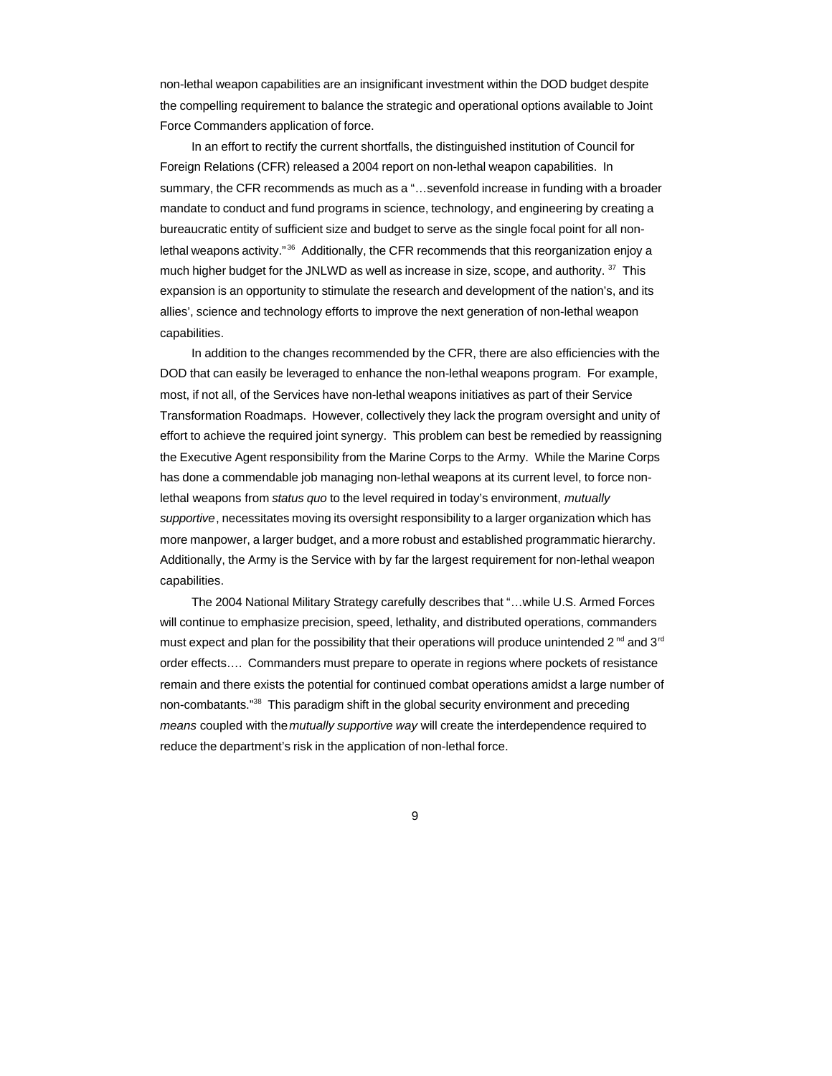non-lethal weapon capabilities are an insignificant investment within the DOD budget despite the compelling requirement to balance the strategic and operational options available to Joint Force Commanders application of force.

In an effort to rectify the current shortfalls, the distinguished institution of Council for Foreign Relations (CFR) released a 2004 report on non-lethal weapon capabilities. In summary, the CFR recommends as much as a "…sevenfold increase in funding with a broader mandate to conduct and fund programs in science, technology, and engineering by creating a bureaucratic entity of sufficient size and budget to serve as the single focal point for all nonlethal weapons activity."<sup>36</sup> Additionally, the CFR recommends that this reorganization enjoy a much higher budget for the JNLWD as well as increase in size, scope, and authority. <sup>37</sup> This expansion is an opportunity to stimulate the research and development of the nation's, and its allies', science and technology efforts to improve the next generation of non-lethal weapon capabilities.

In addition to the changes recommended by the CFR, there are also efficiencies with the DOD that can easily be leveraged to enhance the non-lethal weapons program. For example, most, if not all, of the Services have non-lethal weapons initiatives as part of their Service Transformation Roadmaps. However, collectively they lack the program oversight and unity of effort to achieve the required joint synergy. This problem can best be remedied by reassigning the Executive Agent responsibility from the Marine Corps to the Army. While the Marine Corps has done a commendable job managing non-lethal weapons at its current level, to force nonlethal weapons from *status quo* to the level required in today's environment, *mutually supportive*, necessitates moving its oversight responsibility to a larger organization which has more manpower, a larger budget, and a more robust and established programmatic hierarchy. Additionally, the Army is the Service with by far the largest requirement for non-lethal weapon capabilities.

The 2004 National Military Strategy carefully describes that "…while U.S. Armed Forces will continue to emphasize precision, speed, lethality, and distributed operations, commanders must expect and plan for the possibility that their operations will produce unintended 2<sup>nd</sup> and 3<sup>rd</sup> order effects…. Commanders must prepare to operate in regions where pockets of resistance remain and there exists the potential for continued combat operations amidst a large number of non-combatants."<sup>38</sup> This paradigm shift in the global security environment and preceding *means* coupled with the *mutually supportive way* will create the interdependence required to reduce the department's risk in the application of non-lethal force.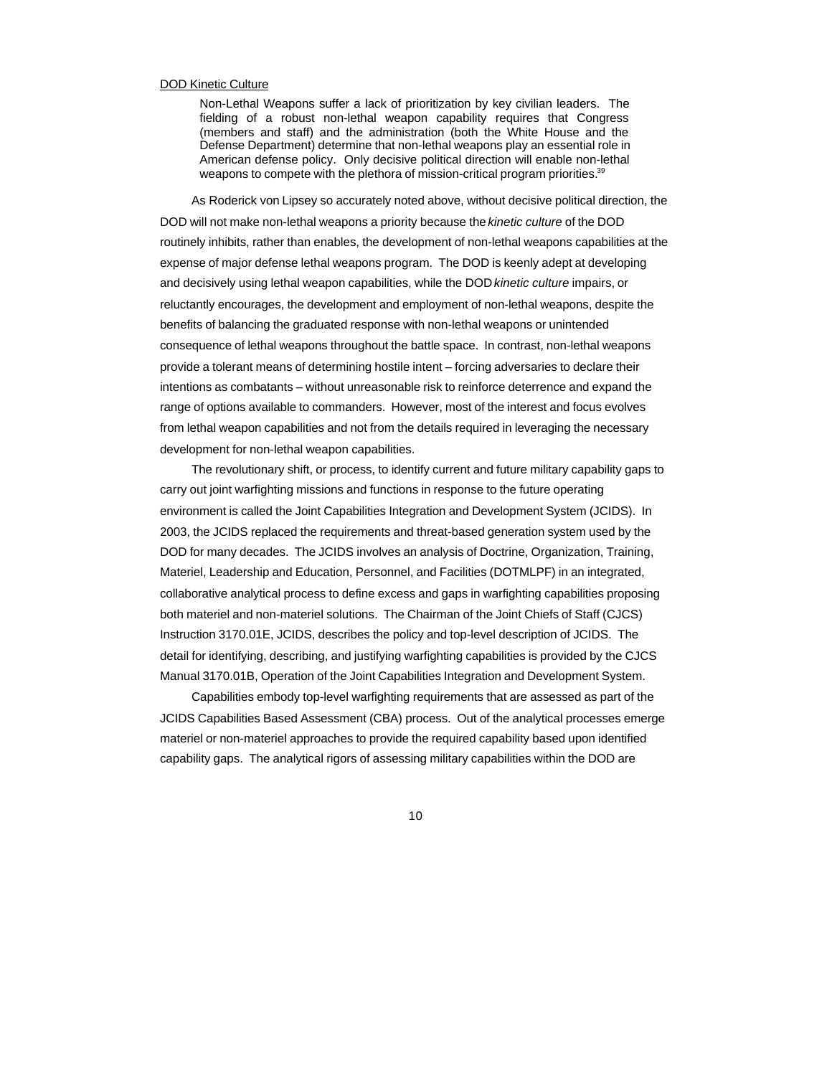#### DOD Kinetic Culture

Non-Lethal Weapons suffer a lack of prioritization by key civilian leaders. The fielding of a robust non-lethal weapon capability requires that Congress (members and staff) and the administration (both the White House and the Defense Department) determine that non-lethal weapons play an essential role in American defense policy. Only decisive political direction will enable non-lethal weapons to compete with the plethora of mission-critical program priorities.<sup>39</sup>

As Roderick von Lipsey so accurately noted above, without decisive political direction, the DOD will not make non-lethal weapons a priority because the *kinetic culture* of the DOD routinely inhibits, rather than enables, the development of non-lethal weapons capabilities at the expense of major defense lethal weapons program. The DOD is keenly adept at developing and decisively using lethal weapon capabilities, while the DOD *kinetic culture* impairs, or reluctantly encourages, the development and employment of non-lethal weapons, despite the benefits of balancing the graduated response with non-lethal weapons or unintended consequence of lethal weapons throughout the battle space. In contrast, non-lethal weapons provide a tolerant means of determining hostile intent – forcing adversaries to declare their intentions as combatants – without unreasonable risk to reinforce deterrence and expand the range of options available to commanders. However, most of the interest and focus evolves from lethal weapon capabilities and not from the details required in leveraging the necessary development for non-lethal weapon capabilities.

The revolutionary shift, or process, to identify current and future military capability gaps to carry out joint warfighting missions and functions in response to the future operating environment is called the Joint Capabilities Integration and Development System (JCIDS). In 2003, the JCIDS replaced the requirements and threat-based generation system used by the DOD for many decades. The JCIDS involves an analysis of Doctrine, Organization, Training, Materiel, Leadership and Education, Personnel, and Facilities (DOTMLPF) in an integrated, collaborative analytical process to define excess and gaps in warfighting capabilities proposing both materiel and non-materiel solutions. The Chairman of the Joint Chiefs of Staff (CJCS) Instruction 3170.01E, JCIDS, describes the policy and top-level description of JCIDS. The detail for identifying, describing, and justifying warfighting capabilities is provided by the CJCS Manual 3170.01B, Operation of the Joint Capabilities Integration and Development System.

Capabilities embody top-level warfighting requirements that are assessed as part of the JCIDS Capabilities Based Assessment (CBA) process. Out of the analytical processes emerge materiel or non-materiel approaches to provide the required capability based upon identified capability gaps. The analytical rigors of assessing military capabilities within the DOD are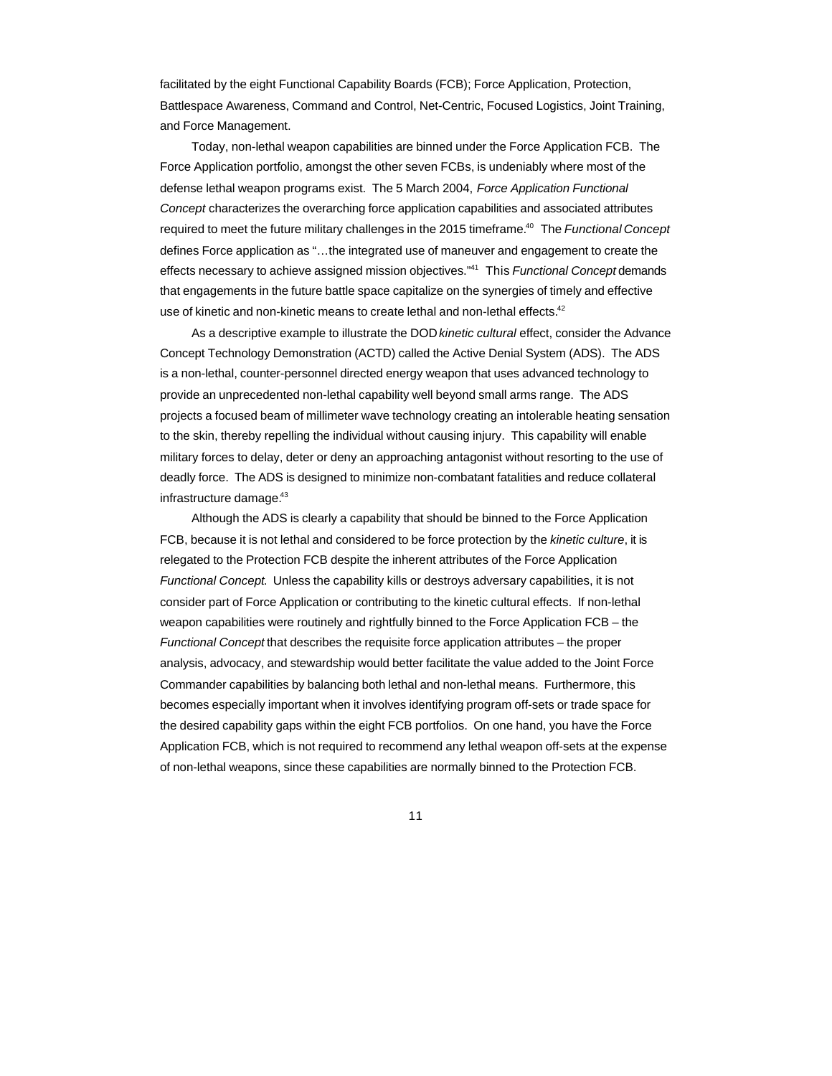facilitated by the eight Functional Capability Boards (FCB); Force Application, Protection, Battlespace Awareness, Command and Control, Net-Centric, Focused Logistics, Joint Training, and Force Management.

Today, non-lethal weapon capabilities are binned under the Force Application FCB. The Force Application portfolio, amongst the other seven FCBs, is undeniably where most of the defense lethal weapon programs exist. The 5 March 2004, *Force Application Functional Concept* characterizes the overarching force application capabilities and associated attributes required to meet the future military challenges in the 2015 timeframe.<sup>40</sup> The *Functional Concept* defines Force application as "…the integrated use of maneuver and engagement to create the effects necessary to achieve assigned mission objectives."<sup>41</sup> This *Functional Concept* demands that engagements in the future battle space capitalize on the synergies of timely and effective use of kinetic and non-kinetic means to create lethal and non-lethal effects.<sup>42</sup>

As a descriptive example to illustrate the DOD *kinetic cultural* effect, consider the Advance Concept Technology Demonstration (ACTD) called the Active Denial System (ADS). The ADS is a non-lethal, counter-personnel directed energy weapon that uses advanced technology to provide an unprecedented non-lethal capability well beyond small arms range. The ADS projects a focused beam of millimeter wave technology creating an intolerable heating sensation to the skin, thereby repelling the individual without causing injury. This capability will enable military forces to delay, deter or deny an approaching antagonist without resorting to the use of deadly force. The ADS is designed to minimize non-combatant fatalities and reduce collateral infrastructure damage.<sup>43</sup>

Although the ADS is clearly a capability that should be binned to the Force Application FCB, because it is not lethal and considered to be force protection by the *kinetic culture*, it is relegated to the Protection FCB despite the inherent attributes of the Force Application *Functional Concept*. Unless the capability kills or destroys adversary capabilities, it is not consider part of Force Application or contributing to the kinetic cultural effects. If non-lethal weapon capabilities were routinely and rightfully binned to the Force Application FCB – the *Functional Concept* that describes the requisite force application attributes – the proper analysis, advocacy, and stewardship would better facilitate the value added to the Joint Force Commander capabilities by balancing both lethal and non-lethal means. Furthermore, this becomes especially important when it involves identifying program off-sets or trade space for the desired capability gaps within the eight FCB portfolios. On one hand, you have the Force Application FCB, which is not required to recommend any lethal weapon off-sets at the expense of non-lethal weapons, since these capabilities are normally binned to the Protection FCB.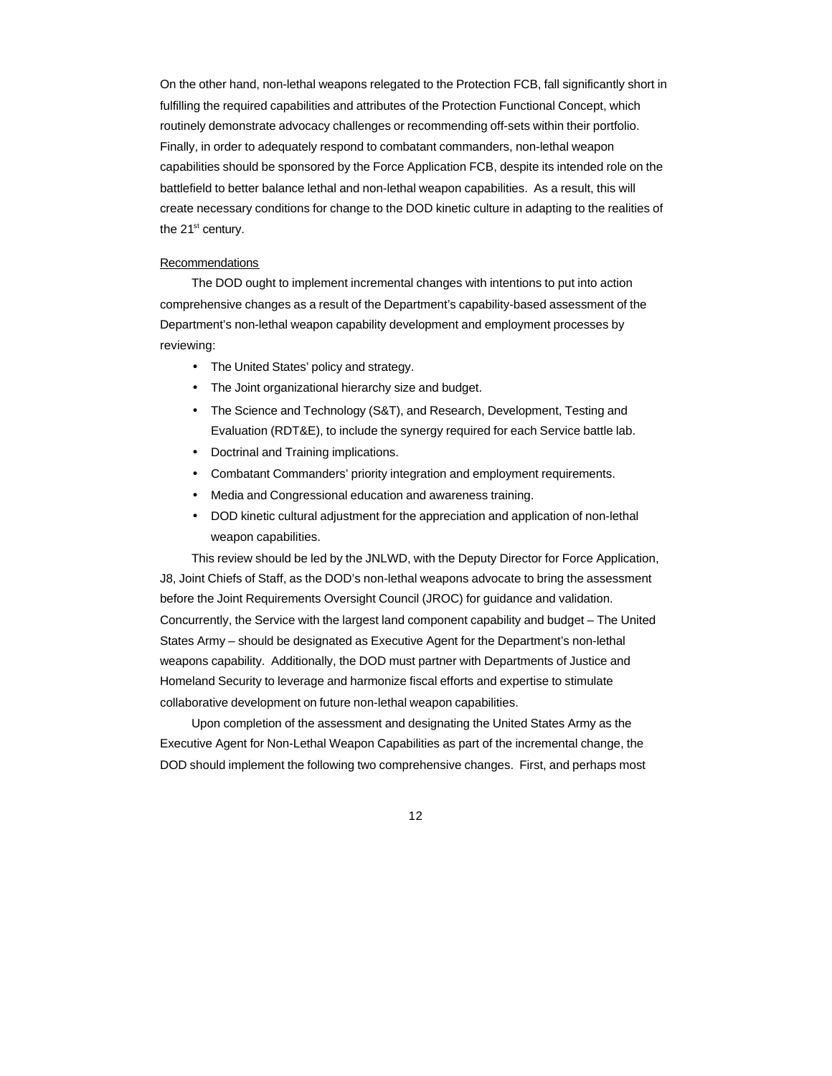On the other hand, non-lethal weapons relegated to the Protection FCB, fall significantly short in fulfilling the required capabilities and attributes of the Protection Functional Concept, which routinely demonstrate advocacy challenges or recommending off-sets within their portfolio. Finally, in order to adequately respond to combatant commanders, non-lethal weapon capabilities should be sponsored by the Force Application FCB, despite its intended role on the battlefield to better balance lethal and non-lethal weapon capabilities. As a result, this will create necessary conditions for change to the DOD kinetic culture in adapting to the realities of the  $21<sup>st</sup>$  century.

## Recommendations

The DOD ought to implement incremental changes with intentions to put into action comprehensive changes as a result of the Department's capability-based assessment of the Department's non-lethal weapon capability development and employment processes by reviewing:

- The United States' policy and strategy.
- The Joint organizational hierarchy size and budget.
- The Science and Technology (S&T), and Research, Development, Testing and Evaluation (RDT&E), to include the synergy required for each Service battle lab.
- Doctrinal and Training implications.
- Combatant Commanders' priority integration and employment requirements.
- Media and Congressional education and awareness training.
- DOD kinetic cultural adjustment for the appreciation and application of non-lethal weapon capabilities.

This review should be led by the JNLWD, with the Deputy Director for Force Application, J8, Joint Chiefs of Staff, as the DOD's non-lethal weapons advocate to bring the assessment before the Joint Requirements Oversight Council (JROC) for guidance and validation. Concurrently, the Service with the largest land component capability and budget – The United States Army – should be designated as Executive Agent for the Department's non-lethal weapons capability. Additionally, the DOD must partner with Departments of Justice and Homeland Security to leverage and harmonize fiscal efforts and expertise to stimulate collaborative development on future non-lethal weapon capabilities.

Upon completion of the assessment and designating the United States Army as the Executive Agent for Non-Lethal Weapon Capabilities as part of the incremental change, the DOD should implement the following two comprehensive changes. First, and perhaps most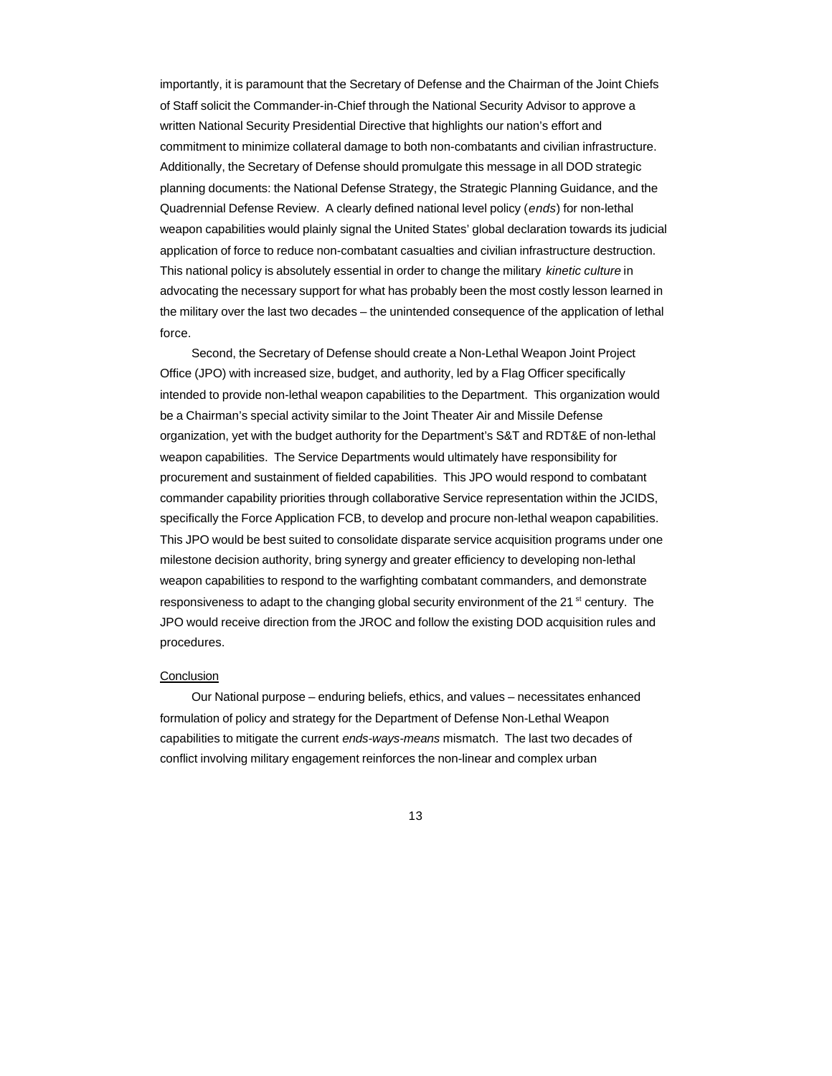importantly, it is paramount that the Secretary of Defense and the Chairman of the Joint Chiefs of Staff solicit the Commander-in-Chief through the National Security Advisor to approve a written National Security Presidential Directive that highlights our nation's effort and commitment to minimize collateral damage to both non-combatants and civilian infrastructure. Additionally, the Secretary of Defense should promulgate this message in all DOD strategic planning documents: the National Defense Strategy, the Strategic Planning Guidance, and the Quadrennial Defense Review. A clearly defined national level policy (*ends*) for non-lethal weapon capabilities would plainly signal the United States' global declaration towards its judicial application of force to reduce non-combatant casualties and civilian infrastructure destruction. This national policy is absolutely essential in order to change the military *kinetic culture* in advocating the necessary support for what has probably been the most costly lesson learned in the military over the last two decades – the unintended consequence of the application of lethal force.

Second, the Secretary of Defense should create a Non-Lethal Weapon Joint Project Office (JPO) with increased size, budget, and authority, led by a Flag Officer specifically intended to provide non-lethal weapon capabilities to the Department. This organization would be a Chairman's special activity similar to the Joint Theater Air and Missile Defense organization, yet with the budget authority for the Department's S&T and RDT&E of non-lethal weapon capabilities. The Service Departments would ultimately have responsibility for procurement and sustainment of fielded capabilities. This JPO would respond to combatant commander capability priorities through collaborative Service representation within the JCIDS, specifically the Force Application FCB, to develop and procure non-lethal weapon capabilities. This JPO would be best suited to consolidate disparate service acquisition programs under one milestone decision authority, bring synergy and greater efficiency to developing non-lethal weapon capabilities to respond to the warfighting combatant commanders, and demonstrate responsiveness to adapt to the changing global security environment of the 21<sup>st</sup> century. The JPO would receive direction from the JROC and follow the existing DOD acquisition rules and procedures.

## **Conclusion**

Our National purpose – enduring beliefs, ethics, and values – necessitates enhanced formulation of policy and strategy for the Department of Defense Non-Lethal Weapon capabilities to mitigate the current *ends-ways-means* mismatch. The last two decades of conflict involving military engagement reinforces the non-linear and complex urban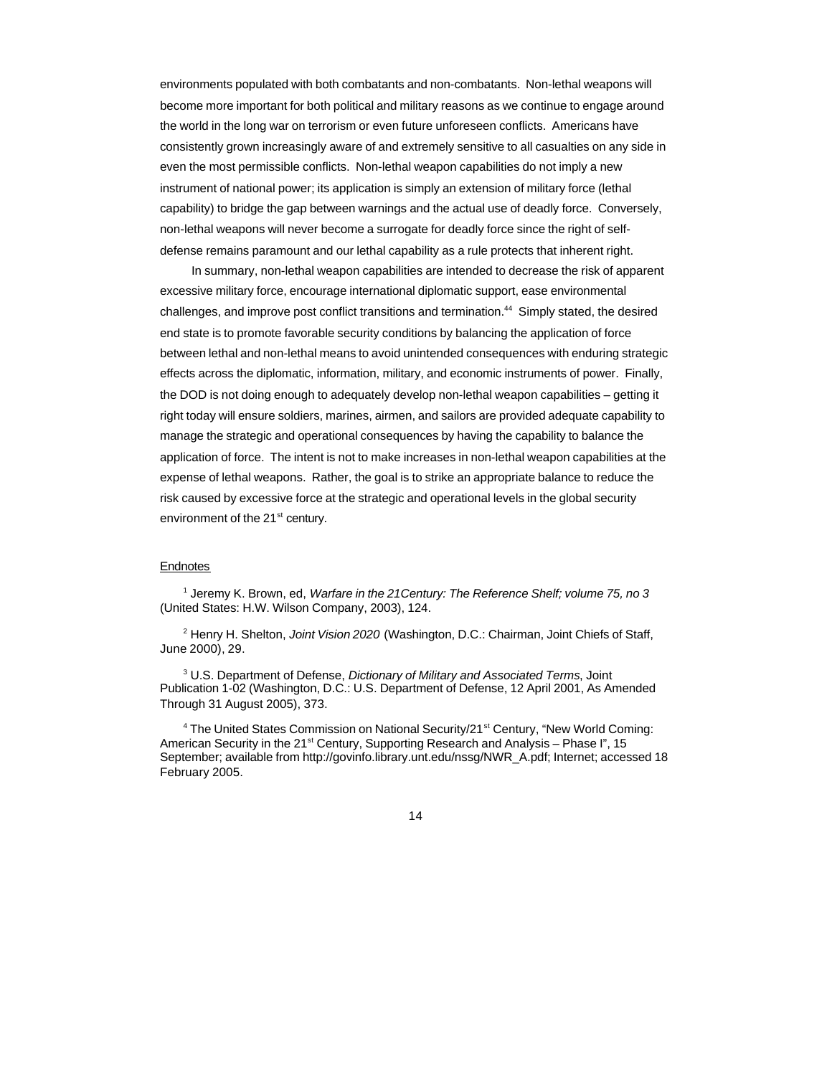environments populated with both combatants and non-combatants. Non-lethal weapons will become more important for both political and military reasons as we continue to engage around the world in the long war on terrorism or even future unforeseen conflicts. Americans have consistently grown increasingly aware of and extremely sensitive to all casualties on any side in even the most permissible conflicts. Non-lethal weapon capabilities do not imply a new instrument of national power; its application is simply an extension of military force (lethal capability) to bridge the gap between warnings and the actual use of deadly force. Conversely, non-lethal weapons will never become a surrogate for deadly force since the right of selfdefense remains paramount and our lethal capability as a rule protects that inherent right.

In summary, non-lethal weapon capabilities are intended to decrease the risk of apparent excessive military force, encourage international diplomatic support, ease environmental challenges, and improve post conflict transitions and termination.<sup>44</sup> Simply stated, the desired end state is to promote favorable security conditions by balancing the application of force between lethal and non-lethal means to avoid unintended consequences with enduring strategic effects across the diplomatic, information, military, and economic instruments of power. Finally, the DOD is not doing enough to adequately develop non-lethal weapon capabilities – getting it right today will ensure soldiers, marines, airmen, and sailors are provided adequate capability to manage the strategic and operational consequences by having the capability to balance the application of force. The intent is not to make increases in non-lethal weapon capabilities at the expense of lethal weapons. Rather, the goal is to strike an appropriate balance to reduce the risk caused by excessive force at the strategic and operational levels in the global security environment of the 21<sup>st</sup> century.

## Endnotes

<sup>1</sup> Jeremy K. Brown, ed, *Warfare in the 21Century: The Reference Shelf; volume 75, no 3* (United States: H.W. Wilson Company, 2003), 124.

2 Henry H. Shelton, *Joint Vision 2020* (Washington, D.C.: Chairman, Joint Chiefs of Staff, June 2000), 29.

3 U.S. Department of Defense, *Dictionary of Military and Associated Terms*, Joint Publication 1-02 (Washington, D.C.: U.S. Department of Defense, 12 April 2001, As Amended Through 31 August 2005), 373.

<sup>4</sup> The United States Commission on National Security/21<sup>st</sup> Century, "New World Coming: American Security in the 21<sup>st</sup> Century, Supporting Research and Analysis – Phase I", 15 September; available from http://govinfo.library.unt.edu/nssg/NWR\_A.pdf; Internet; accessed 18 February 2005.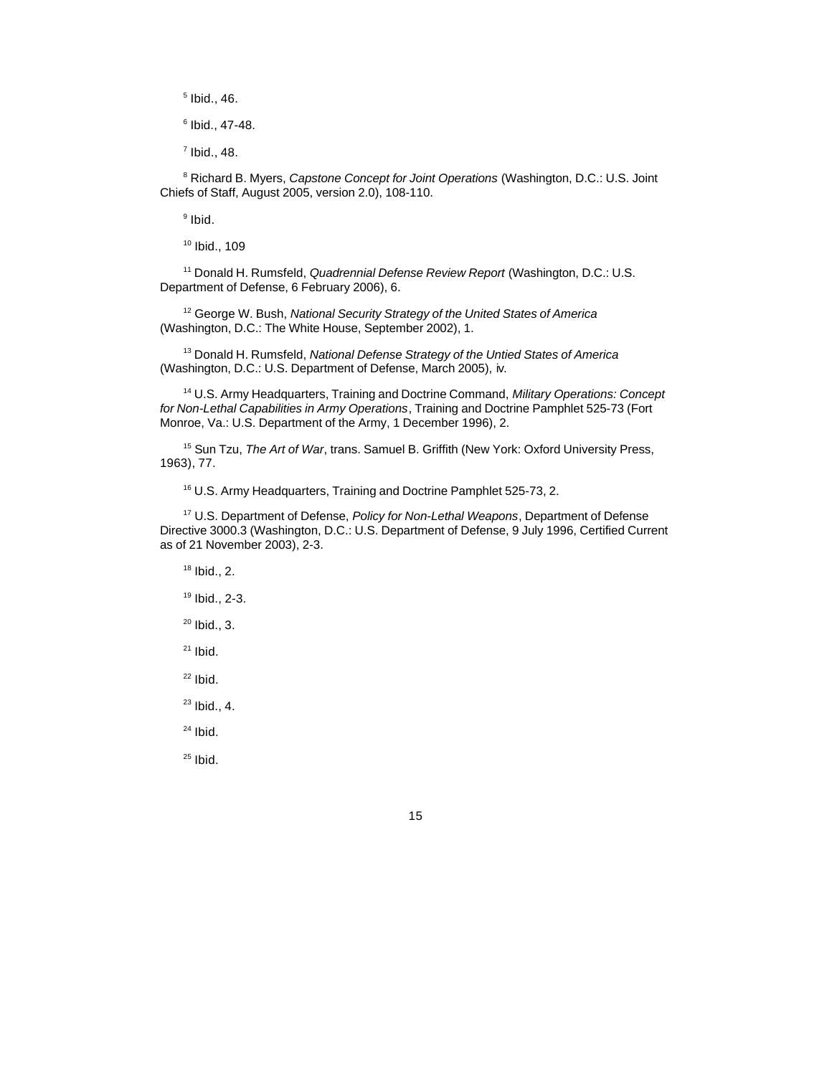$<sup>5</sup>$  Ibid., 46.</sup>

Ibid., 47-48.

 $<sup>7</sup>$  Ibid., 48.</sup>

 Richard B. Myers, *Capstone Concept for Joint Operations* (Washington, D.C.: U.S. Joint Chiefs of Staff, August 2005, version 2.0), 108-110.

<sup>9</sup> Ibid.

Ibid., 109

 Donald H. Rumsfeld, *Quadrennial Defense Review Report* (Washington, D.C.: U.S. Department of Defense, 6 February 2006), 6.

 George W. Bush, *National Security Strategy of the United States of America* (Washington, D.C.: The White House, September 2002), 1.

 Donald H. Rumsfeld, *National Defense Strategy of the Untied States of America* (Washington, D.C.: U.S. Department of Defense, March 2005), iv.

 U.S. Army Headquarters, Training and Doctrine Command, *Military Operations: Concept for Non-Lethal Capabilities in Army Operations*, Training and Doctrine Pamphlet 525-73 (Fort Monroe, Va.: U.S. Department of the Army, 1 December 1996), 2.

 Sun Tzu, *The Art of War*, trans. Samuel B. Griffith (New York: Oxford University Press, 1963), 77.

U.S. Army Headquarters, Training and Doctrine Pamphlet 525-73, 2.

 U.S. Department of Defense, *Policy for Non-Lethal Weapons*, Department of Defense Directive 3000.3 (Washington, D.C.: U.S. Department of Defense, 9 July 1996, Certified Current as of 21 November 2003), 2-3.

Ibid., 2.

Ibid., 2-3.

Ibid., 3.

Ibid.

Ibid.

Ibid., 4.

Ibid.

Ibid.